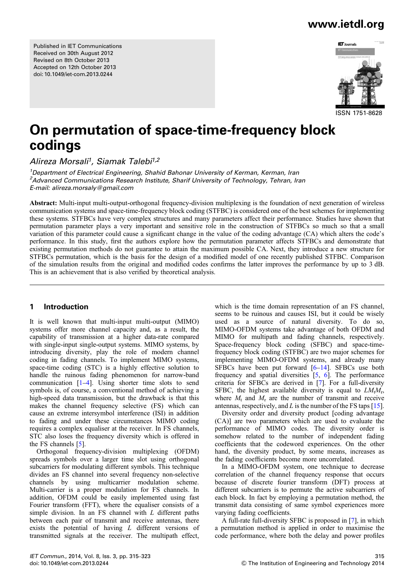Published in IET Communications Received on 30th August 2012 Revised on 8th October 2013 Accepted on 12th October 2013 doi: 10.1049/iet-com.2013.0244

### www.ietdl.org



# On permutation of space-time-frequency block codings

Alireza Morsali<sup>1</sup>, Siamak Talebi<sup>1,2</sup>

<sup>1</sup>Department of Electrical Engineering, Shahid Bahonar University of Kerman, Kerman, Iran <sup>2</sup> Advanced Communications Research Institute, Sharif University of Technology, Tehran, Iran E-mail: alireza.morsaly@gmail.com

Abstract: Multi-input multi-output-orthogonal frequency-division multiplexing is the foundation of next generation of wireless communication systems and space-time-frequency block coding (STFBC) is considered one of the best schemes for implementing these systems. STFBCs have very complex structures and many parameters affect their performance. Studies have shown that permutation parameter plays a very important and sensitive role in the construction of STFBCs so much so that a small variation of this parameter could cause a significant change in the value of the coding advantage (CA) which alters the code's performance. In this study, first the authors explore how the permutation parameter affects STFBCs and demonstrate that existing permutation methods do not guarantee to attain the maximum possible CA. Next, they introduce a new structure for STFBCs permutation, which is the basis for the design of a modified model of one recently published STFBC. Comparison of the simulation results from the original and modified codes confirms the latter improves the performance by up to 3 dB. This is an achievement that is also verified by theoretical analysis.

#### 1 Introduction

It is well known that multi-input multi-output (MIMO) systems offer more channel capacity and, as a result, the capability of transmission at a higher data-rate compared with single-input single-output systems. MIMO systems, by introducing diversity, play the role of modern channel coding in fading channels. To implement MIMO systems, space-time coding (STC) is a highly effective solution to handle the ruinous fading phenomenon for narrow-band communication [1–4]. Using shorter time slots to send symbols is, of course, a conventional method of achieving a high-speed data transmission, but the drawback is that this makes the channel frequency selective (FS) which can cause an extreme intersymbol interference (ISI) in addition to fading and under these circumstances MIMO coding requires a complex equaliser at the receiver. In FS channels, STC also loses the frequency diversity which is offered in the FS channels [5].

Orthogonal frequency-division multiplexing (OFDM) spreads symbols over a larger time slot using orthogonal subcarriers for modulating different symbols. This technique divides an FS channel into several frequency non-selective channels by using multicarrier modulation scheme. Multi-carrier is a proper modulation for FS channels. In addition, OFDM could be easily implemented using fast Fourier transform (FFT), where the equaliser consists of a simple division. In an FS channel with L different paths between each pair of transmit and receive antennas, there exists the potential of having L different versions of transmitted signals at the receiver. The multipath effect, which is the time domain representation of an FS channel, seems to be ruinous and causes ISI, but it could be wisely used as a source of natural diversity. To do so, MIMO-OFDM systems take advantage of both OFDM and MIMO for multipath and fading channels, respectively. Space-frequency block coding (SFBC) and space-timefrequency block coding (STFBC) are two major schemes for implementing MIMO-OFDM systems, and already many SFBCs have been put forward [6-14]. SFBCs use both frequency and spatial diversities [5, 6]. The performance criteria for SFBCs are derived in [7]. For a full-diversity SFBC, the highest available diversity is equal to  $LM_tM_r$ , where  $M_t$  and  $M_r$  are the number of transmit and receive antennas, respectively, and  $L$  is the number of the FS taps [15].

Diversity order and diversity product [coding advantage (CA)] are two parameters which are used to evaluate the performance of MIMO codes. The diversity order is somehow related to the number of independent fading coefficients that the codeword experiences. On the other hand, the diversity product, by some means, increases as the fading coefficients become more uncorrelated.

In a MIMO-OFDM system, one technique to decrease correlation of the channel frequency response that occurs because of discrete fourier transform (DFT) process at different subcarriers is to permute the active subcarriers of each block. In fact by employing a permutation method, the transmit data consisting of same symbol experiences more varying fading coefficients.

A full-rate full-diversity SFBC is proposed in [7], in which a permutation method is applied in order to maximise the code performance, where both the delay and power profiles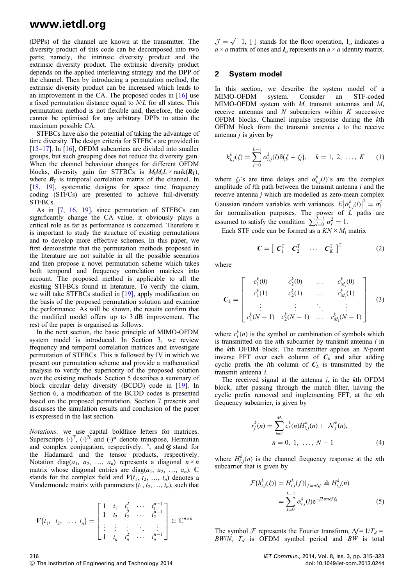(DPPs) of the channel are known at the transmitter. The diversity product of this code can be decomposed into two parts; namely, the intrinsic diversity product and the extrinsic diversity product. The extrinsic diversity product depends on the applied interleaving strategy and the DPP of the channel. Then by introducing a permutation method, the extrinsic diversity product can be increased which leads to an improvement in the CA. The proposed codes in  $[16]$  use a fixed permutation distance equal to N/L for all states. This permutation method is not flexible and, therefore, the code cannot be optimised for any arbitrary DPPs to attain the maximum possible CA.

STFBCs have also the potential of taking the advantage of time diversity. The design criteria for STFBCs are provided in [15–17]. In [16], OFDM subcarriers are divided into smaller groups, but such grouping does not reduce the diversity gain. When the channel behaviour changes for different OFDM blocks, diversity gain for STFBCs is  $M_t M_t L \times \text{rank}(\mathbf{R}_T)$ , where  $R_T$  is temporal correlation matrix of the channel. In [18, 19], systematic designs for space time frequency coding (STFCs) are presented to achieve full-diversity STFBCs.

As in [7, 16, 19], since permutation of STFBCs can significantly change the CA value, it obviously plays a critical role as far as performance is concerned. Therefore it is important to study the structure of existing permutations and to develop more effective schemes. In this paper, we first demonstrate that the permutation methods proposed in the literature are not suitable in all the possible scenarios and then propose a novel permutation scheme which takes both temporal and frequency correlation matrices into account. The proposed method is applicable to all the existing STFBCs found in literature. To verify the claim, we will take STFBCs studied in [19], apply modification on the basis of the proposed permutation solution and examine the performance. As will be shown, the results confirm that the modified model offers up to 3 dB improvement. The rest of the paper is organised as follows.

In the next section, the basic principle of MIMO-OFDM system model is introduced. In Section 3, we review frequency and temporal correlation matrices and investigate permutation of STFBCs. This is followed by IV in which we present our permutation scheme and provide a mathematical analysis to verify the superiority of the proposed solution over the existing methods. Section 5 describes a summary of block circular delay diversity (BCDD) code in [19]. In Section 6, a modification of the BCDD codes is presented based on the proposed permutation. Section 7 presents and discusses the simulation results and conclusion of the paper is expressed in the last section.

Notations: we use capital boldface letters for matrices. Superscripts  $(\cdot)^T$ ,  $(\cdot)^{\mathcal{H}}$  and  $(\cdot)^*$  denote transpose, Hermitian and complex conjugation, respectively. °, and ⊗ stand for the Hadamard and the tensor products, respectively. Notation diag( $a_1$ ,  $a_2$ , ...,  $a_n$ ) represents a diagonal  $n \times n$ matrix whose diagonal entries are diag $(a_1, a_2, ..., a_n)$ .  $\mathbb C$ stands for the complex field and  $V(t_1, t_2, ..., t_n)$  denotes a Vandermonde matrix with parameters  $(t_1, t_2, ..., t_n)$ , such that

$$
V(t_1, t_2, \ldots, t_n) = \begin{bmatrix} 1 & t_1 & t_1^2 & \cdots & t_1^{n-1} \\ 1 & t_2 & t_2^2 & \cdots & t_2^{n-1} \\ \vdots & \vdots & \vdots & \ddots & \vdots \\ 1 & t_n & t_n^2 & \cdots & t_n^{n-1} \end{bmatrix} \in \mathbb{C}^{n \times n}
$$

 $\mathcal{J} = \sqrt{-1}$ ,  $\lfloor \cdot \rfloor$  stands for the floor operation,  $1_a$  indicates a  $a \times a$  matrix of ones and  $I_a$  represents an  $a \times a$  identity matrix.

#### 2 System model

In this section, we describe the system model of a MIMO-OFDM system. Consider an STF-coded MIMO-OFDM system with  $M_t$  transmit antennas and  $M_r$ receive antennas and N subcarriers within K successive OFDM blocks. Channel impulse response during the kth OFDM block from the transmit antenna  $i$  to the receive antenna  $j$  is given by

$$
h_{i,j}^k(\zeta) = \sum_{l=0}^{L-1} \alpha_{i,j}^k(l) \delta(\zeta - \zeta_l), \quad k = 1, 2, ..., K \qquad (1)
$$

where  $\zeta_i$ 's are time delays and  $\alpha_{i,j}^k(l)$ 's are the complex amplitude of  $l$ th path between the transmit antenna  $i$  and the receive antenna j which are modelled as zero-mean complex Gaussian random variables with variances  $E |\alpha_{i,j}^{k}(l)|^2 = \sigma_l^2$  for normalisation purposes. The power of L paths are assumed to satisfy the condition  $\sum_{l=0}^{L-1} \sigma_l^2 = 1$ .

Each STF code can be formed as a  $KN \times M_t$  matrix

$$
\boldsymbol{C} = \begin{bmatrix} \boldsymbol{C}_1^{\mathrm{T}} & \boldsymbol{C}_2^{\mathrm{T}} & \cdots & \boldsymbol{C}_K^{\mathrm{T}} \end{bmatrix}^{\mathrm{T}} \tag{2}
$$

where

$$
\mathbf{C}_{k} = \begin{bmatrix} c_{1}^{k}(0) & c_{2}^{k}(0) & \cdots & c_{M_{t}}^{k}(0) \\ c_{1}^{k}(1) & c_{2}^{k}(1) & \cdots & c_{M_{t}}^{k}(1) \\ \vdots & \vdots & \ddots & \vdots \\ c_{1}^{k}(N-1) & c_{2}^{k}(N-1) & \cdots & c_{M_{t}}^{k}(N-1) \end{bmatrix}
$$
(3)

where  $c_i^k(n)$  is the symbol or combination of symbols which is transmitted on the *n*th subcarrier by transmit antenna  $i$  in the kth OFDM block. The transmitter applies an N-point inverse FFT over each column of  $C_k$  and after adding cyclic prefix the *i*th column of  $C_k$  is transmitted by the transmit antenna i.

The received signal at the antenna  $j$ , in the  $k$ th OFDM block, after passing through the match filter, having the cyclic prefix removed and implementing FFT, at the nth frequency subcarrier, is given by

$$
r_j^k(n) = \sum_{i=1}^{M_t} c_i^k(n) H_{i,j}^k(n) + \mathcal{N}_j^k(n),
$$
  
n = 0, 1, ..., N - 1 (4)

where  $H_{i,j}^k(n)$  is the channel frequency response at the *n*th subcarrier that is given by

$$
\mathcal{F}\{h_{i,j}^k(\xi)\} = H_{i,j}^k(f)|_{f=n\Delta f} \triangleq H_{i,j}^k(n)
$$

$$
= \sum_{l=0}^{L-1} \alpha_{i,j}^k(l) e^{-j2\pi n \delta f \xi_l}
$$
(5)

The symbol  $\mathcal F$  represents the Fourier transform,  $\Delta f = 1/T_d =$  $BW/N$ ,  $T_d$  is OFDM symbol period and  $BW$  is total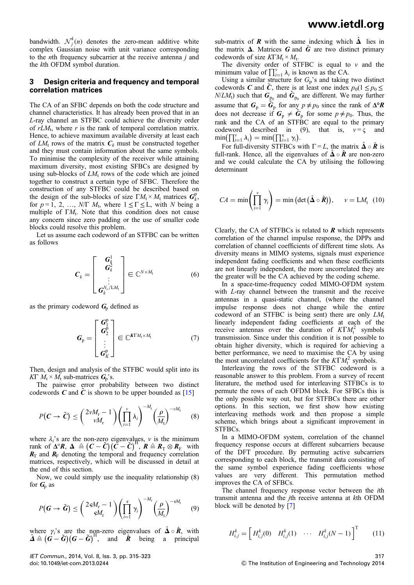bandwidth.  $\mathcal{N}_j^k(n)$  denotes the zero-mean additive white complex Gaussian noise with unit variance corresponding to the nth frequency subcarrier at the receive antenna j and the kth OFDM symbol duration.

#### 3 Design criteria and frequency and temporal correlation matrices

The CA of an SFBC depends on both the code structure and channel characteristics. It has already been proved that in an L-ray channel an STFBC could achieve the diversity order of  $rLM_t$ , where r is the rank of temporal correlation matrix. Hence, to achieve maximum available diversity at least each of  $LM_t$  rows of the matrix  $C_k$  must be constructed together and they must contain information about the same symbols. To minimise the complexity of the receiver while attaining maximum diversity, most existing SFBCs are designed by using sub-blocks of  $LM_t$  rows of the code which are joined together to construct a certain type of SFBC. Therefore the construction of any STFBC could be described based on the design of the sub-blocks of size  $\Gamma M_t \times M_t$  matrices  $G_k^p$ , for  $p=1, 2, ..., N/\Gamma M_t$ , where  $1 \leq \Gamma \leq L$ , with N being a multiple of  $\Gamma M_t$ . Note that this condition does not cause any concern since zero padding or the use of smaller code blocks could resolve this problem.

Let us assume each codeword of an STFBC can be written as follows

$$
\boldsymbol{C}_{k} = \begin{bmatrix} \boldsymbol{G}_{k}^{1} \\ \boldsymbol{G}_{k}^{2} \\ \vdots \\ \boldsymbol{G}_{k}^{N_{c}/LM_{t}} \end{bmatrix} \in \mathbb{C}^{N \times M_{t}}
$$
(6)

as the primary codeword  $G_p$  defined as

$$
\boldsymbol{G}_{\mathrm{p}} = \begin{bmatrix} \boldsymbol{G}_{1}^{\mathrm{p}} \\ \boldsymbol{G}_{2}^{\mathrm{p}} \\ \vdots \\ \boldsymbol{G}_{K}^{\mathrm{p}} \end{bmatrix} \in \mathbb{C}^{K\Gamma M_{\mathrm{t}} \times M_{\mathrm{t}}} \tag{7}
$$

Then, design and analysis of the STFBC would split into its KΓ  $M_t \times M_t$  sub-matrices  $G_p$ 's.

The pairwise error probability between two distinct codewords C and  $\tilde{C}$  is shown to be upper bounded as [15]

$$
P(C \to \tilde{C}) \leq {2vM_{\rm r} - 1 \choose vM_{\rm r}} \left(\prod_{i=1}^{v} \lambda_i\right)^{-M_{\rm r}} \left(\frac{\rho}{M_{\rm t}}\right)^{-vM_{\rm r}} \tag{8}
$$

where  $\lambda_i$ 's are the non-zero eigenvalues, v is the minimum rank of  $\Delta^{\circ}R$ ,  $\Delta \triangleq (C - \tilde{C})(C - \tilde{C})^{\text{H}}$ ,  $R \triangleq R_{\text{T}} \otimes R_{\text{F}}$  with  $R<sub>T</sub>$  and  $R<sub>F</sub>$  denoting the temporal and frequency correlation matrices, respectively, which will be discussed in detail at the end of this section.

Now, we could simply use the inequality relationship (8) for  $G_p$  as

$$
P(G \to \tilde{G}) \le \left(\frac{2sM_{r}-1}{sM_{r}}\right)\left(\prod_{i=1}^{s} \gamma_{i}\right)^{-M_{r}}\left(\frac{\rho}{M_{t}}\right)^{-sM_{r}} \quad (9)
$$

where  $\gamma_i$ 's are the non-zero eigenvalues of  $\hat{\Delta} \circ \hat{R}$ , with  $\hat{\Delta} \triangleq (\vec{G} - \tilde{G})(\vec{G} - \tilde{G})^H$ , and  $\hat{R}$  being a principal

sub-matrix of **R** with the same indexing which  $\hat{\Delta}$  lies in the matrix  $\Delta$ . Matrices G and  $\hat{G}$  are two distinct primary codewords of size  $K\Gamma M_t \times M_t$ .

The diversity order of STFBC is equal to  $v$  and the minimum value of  $\prod_{i=1}^{v} \lambda_i$  is known as the CA.

Using a similar structure for  $G_p$ 's and taking two distinct codewords C and  $\tilde{C}$ , there is at least one index  $p_0(1 \le p_0 \le$  $N/LM_t$ ) such that  $G_{p_0}$  and  $\tilde{G}_{p_0}$  are different. We may further assume that  $G_p = \tilde{G}_p$  for any  $p \neq p_0$  since the rank of  $\Delta^\circ R$ does not decrease if  $G_p \neq \tilde{G}_p$  for some  $p \neq p_0$ . Thus, the rank and the CA of an STFBC are equal to the primary codeword described in (9), that is,  $v = \zeta$  and  $\min(\prod_{i=1}^{v} \lambda_i) = \min(\prod_{i=1}^{s} \gamma_i).$ 

For full-diversity STFBCs with  $\Gamma = L$ , the matrix  $\hat{\Delta} \circ \hat{R}$  is full-rank. Hence, all the eigenvalues of  $\Delta \circ \hat{R}$  are non-zero and we could calculate the CA by utilising the following determinant

$$
CA = \min\left(\prod_{i=1}^{v} \gamma_i\right) = \min\left(\det\left(\hat{\Delta} \circ \hat{\mathbf{R}}\right)\right), \quad v = LM_t \quad (10)
$$

Clearly, the CA of STFBCs is related to  *which represents* correlation of the channel impulse response, the DPPs and correlation of channel coefficients of different time slots. As diversity means in MIMO systems, signals must experience independent fading coefficients and when these coefficients are not linearly independent, the more uncorrelated they are the greater will be the CA achieved by the coding scheme.

In a space-time-frequency coded MIMO-OFDM system with L-ray channel between the transmit and the receive antennas in a quasi-static channel, (where the channel impulse response does not change while the entire codeword of an STFBC is being sent) there are only  $LM_t$ linearly independent fading coefficients at each of the receive antennas over the duration of  $K\Gamma M_t^2$  symbols transmission. Since under this condition it is not possible to obtain higher diversity, which is required for achieving a better performance, we need to maximise the CA by using the most uncorrelated coefficients for the  $K\Gamma M_t^2$  symbols.

Interleaving the rows of the STFBC codeword is a reasonable answer to this problem. From a survey of recent literature, the method used for interleaving STFBCs is to permute the rows of each OFDM block. For SFBCs this is the only possible way out, but for STFBCs there are other options. In this section, we first show how existing interleaving methods work and then propose a simple scheme, which brings about a significant improvement in STFBCs.

In a MIMO-OFDM system, correlation of the channel frequency response occurs at different subcarriers because of the DFT procedure. By permuting active subcarriers corresponding to each block, the transmit data consisting of the same symbol experience fading coefficients whose values are very different. This permutation method improves the CA of SFBCs.

The channel frequency response vector between the ith transmit antenna and the jth receive antenna at kth OFDM block will be denoted by [7]

$$
H_{i,j}^k = \left[ H_{i,j}^k(0) \quad H_{i,j}^k(1) \quad \cdots \quad H_{i,j}^k(N-1) \right]^{\mathrm{T}} \tag{11}
$$

317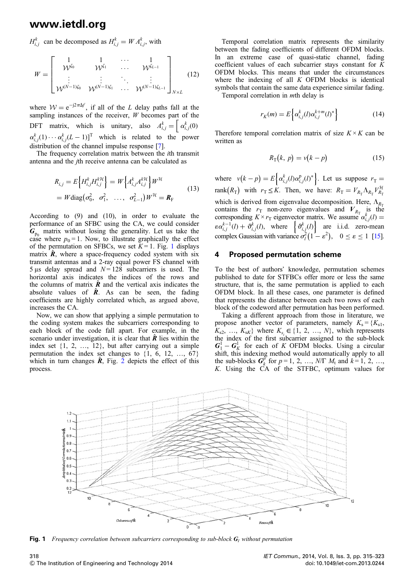$H_{i,j}^k$  can be decomposed as  $H_{i,j}^k = W A_{i,j}^k$ , with

$$
W = \begin{bmatrix} 1 & 1 & \cdots & 1 \\ \mathcal{W}^{\zeta_0} & \mathcal{W}^{\zeta_1} & \cdots & \mathcal{W}^{\zeta_{L-1}} \\ \vdots & \vdots & \ddots & \vdots \\ \mathcal{W}^{(N-1)\zeta_0} & \mathcal{W}^{(N-1)\zeta_1} & \cdots & \mathcal{W}^{(N-1)\zeta_{L-1}} \end{bmatrix}_{N \times L}
$$
(12)

where  $W = e^{-j2\pi\Delta f}$ , if all of the L delay paths fall at the sampling instances of the receiver, W becomes part of the DFT matrix, which is unitary, also  $A_{i,j}^k = \left[ \alpha_{i,j}^k(0) \right]$  $\alpha_{i,j}^k(1) \cdots \alpha_{i,j}^k(L-1)$ <sup>T</sup> which is related to the power distribution of the channel impulse response [7].

The frequency correlation matrix between the ith transmit antenna and the jth receive antenna can be calculated as

$$
R_{i,j} = E\left\{H_{i,j}^k H_{i,j}^{k\mathcal{H}}\right\} = W\left\{A_{i,j}^k A_{i,j}^{k\mathcal{H}}\right\} W^{\mathcal{H}}
$$
  
=  $W \text{diag}(\sigma_0^2, \sigma_1^2, \ldots, \sigma_{L-1}^2) W^{\mathcal{H}} = \mathbf{R}_{F}$  (13)

According to (9) and (10), in order to evaluate the performance of an SFBC using the CA, we could consider  $G_{p_0}$  matrix without losing the generality. Let us take the case where  $p_0 = 1$ . Now, to illustrate graphically the effect of the permutation on SFBCs, we set  $K = 1$ . Fig. 1 displays matrix  $\hat{\textbf{R}}$ , where a space-frequency coded system with six transmit antennas and a 2-ray equal power FS channel with 5 μs delay spread and  $N = 128$  subcarriers is used. The horizontal axis indicates the indices of the rows and the columns of matrix  $\hat{\boldsymbol{R}}$  and the vertical axis indicates the absolute values of  $\hat{R}$ . As can be seen, the fading coefficients are highly correlated which, as argued above, increases the CA.

Now, we can show that applying a simple permutation to the coding system makes the subcarriers corresponding to each block of the code fall apart. For example, in the scenario under investigation, it is clear that  $\vec{R}$  lies within the index set  $\{1, 2, ..., 12\}$ , but after carrying out a simple permutation the index set changes to {1, 6, 12, …, 67} which in turn changes  $\hat{R}$ , Fig. 2 depicts the effect of this process.

Temporal correlation matrix represents the similarity between the fading coefficients of different OFDM blocks. In an extreme case of quasi-static channel, fading coefficient values of each subcarrier stays constant for  $\bar{K}$ OFDM blocks. This means that under the circumstances where the indexing of all  $K$  OFDM blocks is identical symbols that contain the same data experience similar fading. Temporal correlation in mth delay is

$$
r_K(m) = E\left\{\alpha_{i,j}^k(l)\alpha_{i,j}^{k+m}(l)^*\right\} \tag{14}
$$

Therefore temporal correlation matrix of size  $K \times K$  can be written as

$$
R_{\rm T}(k, p) = v(k - p) \tag{15}
$$

where  $v(k-p) = E\left\{\alpha_{i,j}^k(l)\alpha_{i,j}^p(l)^*\right\}$ . Let us suppose  $r_T =$ rank $(R_T)$  with  $r_T \leq K$ . Then, we have:  $R_T = V_{R_T} \Lambda_{R_T} V_{R_T}^{\mathcal{H}}$ which is derived from eigenvalue decomposition. Here,  $\Lambda_{R_{\tau}}$ contains the  $r<sub>T</sub>$  non-zero eigenvalues and  $V<sub>R<sub>T</sub></sub>$  is the corresponding  $K \times r_T$  eigenvector matrix. We assume  $\alpha_{i,j}^k(l)$  =  $\epsilon \alpha_{i,j}^{k-1}(l) + \vartheta_{i,j}^{k}(l)$ , where  $\left\{\vartheta_{i,j}^{k}(l)\right\}$  are i.i.d. zero-mean complex Gaussian with variance  $\sigma_l^2(1 - \varepsilon^2)$ ,  $0 \le \varepsilon \le 1$  [15].

#### 4 Proposed permutation scheme

To the best of authors' knowledge, permutation schemes published to date for STFBCs offer more or less the same structure, that is, the same permutation is applied to each OFDM block. In all these cases, one parameter is defined that represents the distance between each two rows of each block of the codeword after permutation has been performed.

Taking a different approach from those in literature, we propose another vector of parameters, namely  $K_s = \{K_{s1},$  $K_{s2}$ , …,  $K_{sK}$ } where  $K_{s_i} \in \{1, 2, ..., N\}$ , which represents the index of the first subcarrier assigned to the sub-block  $G_1^1 - G_K^1$  for each of K OFDM blocks. Using a circular shift, this indexing method would automatically apply to all the sub-blocks  $G_k^{\overline{p}}$  for  $p = 1, 2, ..., N/\Gamma$   $M_t$  and  $k = 1, 2, ...,$  $K$ . Using the  $\hat{CA}$  of the STFBC, optimum values for



Fig. 1 Frequency correlation between subcarriers corresponding to sub-block  $G_l$  without permutation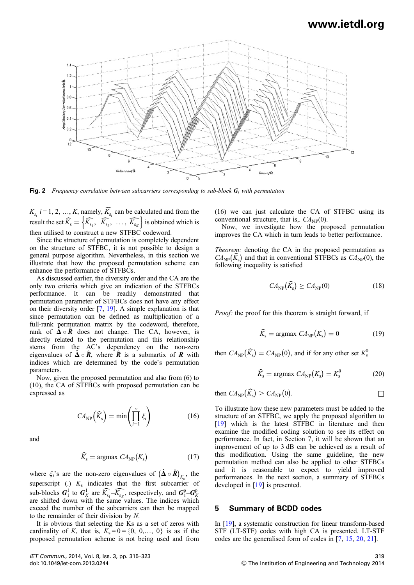

Fig. 2 Frequency correlation between subcarriers corresponding to sub-block  $G_l$  with permutation

 $K_{s_i}$  i = 1, 2, ..., K, namely,  $K_{s_i}$  can be calculated and from the result the set  $\widehat{K}_{s} = \left\{ \widehat{K}_{s_1}, \widehat{K}_{s_2}, \ldots, \widehat{K}_{s_K} \right\}$  is obtained which is then utilised to construct a new STFBC codeword.

Since the structure of permutation is completely dependent on the structure of STFBC, it is not possible to design a general purpose algorithm. Nevertheless, in this section we illustrate that how the proposed permutation scheme can enhance the performance of STFBCs.

As discussed earlier, the diversity order and the CA are the only two criteria which give an indication of the STFBCs performance. It can be readily demonstrated that permutation parameter of STFBCs does not have any effect on their diversity order [7, 19]. A simple explanation is that since permutation can be defined as multiplication of a full-rank permutation matrix by the codeword, therefore, rank of  $\hat{\Delta} \circ \hat{R}$  does not change. The CA, however, is directly related to the permutation and this relationship stems from the AC's dependency on the non-zero eigenvalues of  $\hat{\Delta} \circ \hat{R}$ , where  $\hat{R}$  is a submartix of  $R$  with indices which are determined by the code's permutation parameters.

Now, given the proposed permutation and also from (6) to (10), the CA of STFBCs with proposed permutation can be expressed as

$$
CA_{\rm NP}\left(\widehat{K}_{\rm s}\right) = \min\left(\prod_{i=1}^{\nu} \xi_i\right) \tag{16}
$$

and

$$
\widehat{K}_{\rm s} = \text{argmax } CA_{\rm NP}(K_{\rm s}) \tag{17}
$$

where  $\xi_i$ 's are the non-zero eigenvalues of  $(\hat{\Delta} \circ \hat{R})_{K_s}$ , the superscript (.)  $K_s$  indicates that the first subcarrier of sub-blocks  $G_1^1$  to  $G_K^1$  are  $\widehat{K_{s_1} - K_{s_K}}$ , respectively, and  $G_1^p - G_K^p$  are shifted down with the same values. The indices which exceed the number of the subcarriers can then be mapped to the remainder of their division by N.

It is obvious that selecting the Ks as a set of zeros with cardinality of K, that is,  $K_s = 0 = \{0, 0, \ldots, 0\}$  is as if the proposed permutation scheme is not being used and from

(16) we can just calculate the CA of STFBC using its conventional structure, that is,.  $CA_{NP}(0)$ .

Now, we investigate how the proposed permutation improves the CA which in turn leads to better performance.

Theorem: denoting the CA in the proposed permutation as  $CA_{NP}(\widehat{K}_{s})$  and that in conventional STFBCs as  $CA_{NP}(0)$ , the following inequality is satisfied

$$
CA_{\rm NP}(\widehat{K}_{\rm s}) \geq CA_{\rm NP}(0) \tag{18}
$$

*Proof:* the proof for this theorem is straight forward, if

$$
\widehat{K}_{\rm s} = \text{argmax } CA_{\rm NP}(K_{\rm s}) = 0 \tag{19}
$$

then  $CA_{NP}(\widehat{K}_s) = CA_{NP}(0)$ , and if for any other set  $K_s^0$ 

$$
\widehat{K}_{\rm s} = \text{argmax } CA_{\rm NP}(K_{\rm s}) = K_{\rm s}^0 \tag{20}
$$

then  $CA_{NP}(\widehat{K}_s) > CA_{NP}(0)$ . □

To illustrate how these new parameters must be added to the structure of an STFBC, we apply the proposed algorithm to [19] which is the latest STFBC in literature and then examine the modified coding solution to see its effect on performance. In fact, in Section 7, it will be shown that an improvement of up to 3 dB can be achieved as a result of this modification. Using the same guideline, the new permutation method can also be applied to other STFBCs and it is reasonable to expect to yield improved performances. In the next section, a summary of STFBCs developed in [19] is presented.

#### 5 Summary of BCDD codes

In [19], a systematic construction for linear transform-based STF (LT-STF) codes with high CA is presented. LT-STF codes are the generalised form of codes in [7, 15, 20, 21].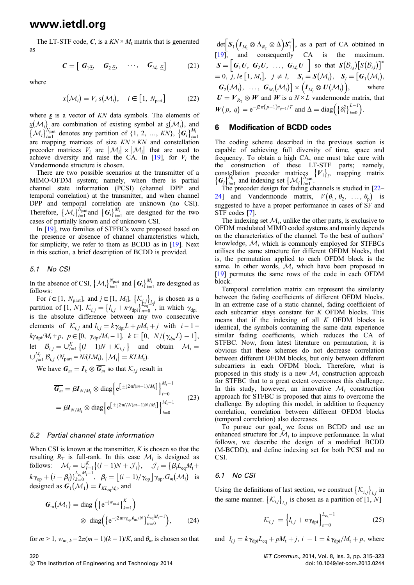The LT-STF code, C, is a  $KN \times M_t$  matrix that is generated as

$$
\boldsymbol{C} = \begin{bmatrix} \boldsymbol{G}_1 \underline{\boldsymbol{x}}, & \boldsymbol{G}_2 \underline{\boldsymbol{x}}, & \cdots, & \boldsymbol{G}_{M_t} \underline{\boldsymbol{x}} \end{bmatrix} \tag{21}
$$

where

$$
\underline{x}(\mathcal{M}_i) = V_i \, \underline{s}(\mathcal{M}_i), \quad i \in [1, N_{\text{part}}] \tag{22}
$$

where s is a vector of KN data symbols. The elements of  $\underline{x}(\mathcal{M}_i)$  are combination of existing symbol at  $\underline{s}(\mathcal{M}_i)$ , and  $\{\mathcal{M}_i\}_{i=1}^{N_{\text{part}}}$  denotes any partition of  $\{1, 2, ..., KN\}, \{\mathbf{G}_i\}_{i=1}^{M_t}$ are mapping matrices of size  $KN \times KN$  and constellation precoder matrices  $V_i$  are  $|\mathcal{M}_i| \times |\mathcal{M}_i|$  that are used to achieve diversity and raise the CA. In  $[19]$ , for  $V_i$  the Vandermonde structure is chosen.

There are two possible scenarios at the transmitter of a MIMO-OFDM system; namely, when there is partial channel state information (PCSI) (channel DPP and temporal correlation) at the transmitter, and when channel DPP and temporal correlation are unknown (no CSI). Therefore,  $\{M_i\}_{i=1}^{N_{part}}$  and  $\{G_i\}_{i=1}^{M_t}$  are designed for the two cases of partially known and of unknown CSI.

In [19], two families of STFBCs were proposed based on the presence or absence of channel characteristics which, for simplicity, we refer to them as BCDD as in [19]. Next in this section, a brief description of BCDD is provided.

#### 5.1 No CSI

In the absence of CSI,  $\{\mathcal{M}_i\}_{i=1}^{N_{\text{part}}}$  and  $\{G_i\}_{i=1}^{M_{\text{t}}}$  are designed as follows:

For  $i \in [1, N_{part}]$ , and  $j \in [1, M_t]$ ,  $\{K_{i,j}\}_{i,j}$  is chosen as a partition of [1, N].  $\mathcal{K}_{i,j} = \left\{ l_{i,j} + n\gamma_{\text{dpi}} \right\}_{n=0}^{\mathcal{K}_{\text{eq}} - 1}$ , in which  $\gamma_{\text{dpi}}$  is the absolute difference between any two consecutive elements of  $\mathcal{K}_{i,j}$  and  $l_{i,j} = k\gamma_{\text{dpi}}L + pM_t + j$  with  $i - 1 =$  $k\gamma_{\text{dpi}}/M_{\text{t}} + p, \ p \in [0, \ \gamma_{\text{dpi}}/M_{\text{t}} - 1], \ k \in [0, \ N/(\gamma_{\text{dpi}}L) - 1],$ let  $B_{i,j} = \bigcup_{l=1}^{K} \left\{ (l-1)N + \mathcal{K}_{i,j} \right\}$  and obtain  $\mathcal{M}_i =$  $\bigcup_{j=1}^{M_t} \mathcal{B}_{i,j} \ (N_{\text{part}} = N/(LM_t), |\mathcal{M}_i| = KLM_t).$ 

We have  $G_m = I_k \otimes \overline{G_m}$  so that  $\mathcal{K}_{i,j}$  result in

$$
\overline{G_m} = \beta I_{N/M_t} \otimes \text{diag}\left\{e^{\left[\pm j2\pi l(m-1)/M_t\right]}\right\}_{l=0}^{M_t-1}
$$
\n
$$
= \beta I_{N/M_t} \otimes \text{diag}\left\{e^{\left[\pm j2\pi l/N(m-1)N/M_t\right]}\right\}_{l=0}^{M_t-1}
$$
\n(23)

#### 5.2 Partial channel state information

When CSI is known at the transmitter,  $K$  is chosen so that the resulting  $R_T$  is full-rank. In this case  $\mathcal{M}_i$  is designed as follows:  $\mathcal{M}_i = \bigcup_{l=1}^K \left\{ (l-1)N + \mathcal{J}_i \right\}, \quad \mathcal{J}_i = \left\{ \beta_i L_{eq} M_t + \right\}$  $k\gamma_{\text{op}} + (i - \beta_i) \}_{k=0}^{L_{\text{eq}}M_i - 1}, \ \ \beta_i = \lfloor (i - 1) / \gamma_{\text{op}} \rfloor \gamma_{\text{op}}. G_m(\mathcal{M}_i) \ \ \text{is}$ designed as  $G_1(\mathcal{M}_1) = I_{KL_{eq}M_t}$ , and

$$
G_{\mathbf{m}}(\mathcal{M}_1) = \text{diag}\left(\left\{e^{-jw_{\mathbf{m},k}}\right\}_{k=1}^K\right) \n\otimes \text{diag}\left(\left\{e^{-j2\pi n\gamma_{op}\theta_{\mathbf{m}}/N}\right\}_{n=0}^{L_{eq}M_t-1}\right),
$$
\n(24)

for  $m > 1$ ,  $w_{m, k} = 2\pi (m - 1)(k - 1)/K$ , and  $\theta_m$  is chosen so that

 $\det \left[ \mathcal{S}_1 \left( I_{M_t} \otimes \Lambda_{R_T} \otimes \Delta \right) \mathcal{S}_1^* \right]$ , as a part of CA obtained in [19], and consequently CA is the maximum.  $\boldsymbol{S} = \begin{bmatrix} \boldsymbol{G}_1 \boldsymbol{U}, & \boldsymbol{G}_2 \boldsymbol{U}, & \ldots, & \boldsymbol{G}_{M_\text{t}} \boldsymbol{U} \end{bmatrix}$  so that  $\boldsymbol{S}(\mathcal{B}_{i,j}) [\boldsymbol{S}(\mathcal{B}_{i,l})]^*$  $S_i = 0, j, l \in [1, M_t], j \neq l, S_i = S(\mathcal{M}_i), S_i = [G_1(\mathcal{M}_i)],$  $\boldsymbol{G}_2(\mathcal{M}_i), \dots, \ \boldsymbol{G}_{M_t}(\mathcal{M}_i)] \times \left(\boldsymbol{I}_{M_t} \otimes \boldsymbol{U}(\mathcal{M}_i)\right), \qquad \text{where}$  $U = V_{R_T} \otimes W$  and W is a  $N \times L$  vandermonde matrix, that  $W(p, q) = e^{-j2\pi(p-1)\tau_{q-1}/T}$  and  $\Delta = \text{diag}(\{\delta_l^2\}_{l=0}^{L-1})$ .

#### 6 Modification of BCDD codes

The coding scheme described in the previous section is capable of achieving full diversity of time, space and frequency. To obtain a high CA, one must take care with the construction of these LT-STF parts; namely, constellation precoder matrices  ${V_i}_i$ , mapping matrix  $\{G_i\}_{i=1}^{M_t}$  and indexing set  $\{M_i\}_{i=1}^{N_{part}}$ .<br>The precoder design for fading channels is studied in [22–

24] and Vandermonde matrix,  $V(\theta_1, \theta_2, \ldots, \theta_p)$  is suggested to have a proper performance in cases of SF and STF codes [7].

The indexing set  $\mathcal{M}_i$ , unlike the other parts, is exclusive to OFDM modulated MIMO coded systems and mainly depends on the characteristics of the channel. To the best of authors' knowledge,  $M_i$ , which is commonly employed for STFBCs utilises the same structure for different OFDM blocks, that is, the permutation applied to each OFDM block is the same. In other words,  $\mathcal{M}_i$  which have been proposed in [19] permutes the same rows of the code in each OFDM block.

Temporal correlation matrix can represent the similarity between the fading coefficients of different OFDM blocks. In an extreme case of a static channel, fading coefficient of each subcarrier stays constant for  $K$  OFDM blocks. This means that if the indexing of all  $K$  OFDM blocks is identical, the symbols containing the same data experience similar fading coefficients, which reduces the CA of STFBC. Now, from latest literature on permutation, it is obvious that these schemes do not decrease correlation between different OFDM blocks, but only between different subcarriers in each OFDM block. Therefore, what is proposed in this study is a new  $\mathcal{M}_i$  construction approach for STFBC that to a great extent overcomes this challenge. In this study, however, an innovative  $\mathcal{M}_i$  construction approach for STFBC is proposed that aims to overcome the challenge. By adopting this model, in addition to frequency correlation, correlation between different OFDM blocks (temporal correlation) also decreases.

To pursue our goal, we focus on BCDD and use an enhanced structure for  $\mathcal{M}_i$  to improve performance. In what follows, we describe the design of a modified BCDD (M-BCDD), and define indexing set for both PCSI and no CSI.

#### 6.1 No CSI

Using the definitions of last section, we construct  $\{K_{i,j}\}_{i,j}$  in the same manner.  $\{K_{i,j}\}_{i,j}$  is chosen as a partition of [1, N]

$$
\mathcal{K}_{i,j} = \left\{ l_{i,j} + n \gamma_{\text{dpi}} \right\}_{n=0}^{L_{\text{eq}}-1} \tag{25}
$$

and  $l_{i,j} = k\gamma_{\text{dpi}}L_{\text{eq}} + pM_t + j$ ,  $i - 1 = k\gamma_{\text{dpi}}/M_t + p$ , where

320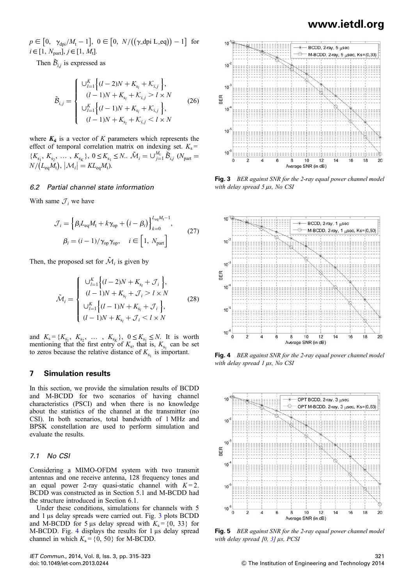$p \in [0, \gamma_{\text{dpi}}/M_t - 1], 0 \in [0, N/((\gamma \text{-dpi } L \text{-eq})) - 1]$  for  $i \in [1, N_{part}], j \in [1, M_t].$ 

Then  $\tilde{\mathcal{B}}_{i,j}$  is expressed as

$$
\tilde{\mathcal{B}}_{i,j} = \begin{cases}\n\bigcup_{l=1}^{K} \left\{ (l-2)N + K_{s_l} + \mathcal{K}_{i,j} \right\}, \\
(l-1)N + K_{s_l} + \mathcal{K}_{i,j} > l \times N \\
\bigcup_{l=1}^{K} \left\{ (l-1)N + K_{s_l} + \mathcal{K}_{i,j} \right\}, \\
(l-1)N + K_{s_l} + \mathcal{K}_{i,j} < l \times N\n\end{cases} \tag{26}
$$

where  $K_{\rm sl}$  is a vector of K parameters which represents the effect of temporal correlation matrix on indexing set.  $K_s =$  $\{K_{s_1}, K_{s_2}, \ldots, K_{s_K}\}, 0 \leq K_{s_1} \leq N \ldots \tilde{\mathcal{M}}_i = \bigcup_{j=1}^{M_t} \tilde{\mathcal{B}}_{i,j}$  ( $N_{\text{part}} =$  $N / (L_{\text{eq}} \tilde{M}_t), |\mathcal{M}_i| = KL_{\text{eq}} M_t).$ 

#### 6.2 Partial channel state information

With same  $\mathcal{J}_i$  we have

$$
\mathcal{J}_i = \left\{ \beta_i L_{\text{eq}} M_t + k \gamma_{\text{op}} + (i - \beta_i) \right\}_{k=0}^{L_{\text{eq}} M_t - 1},
$$
\n
$$
\beta_i = (i - 1) / \gamma_{\text{op}} \gamma_{\text{op}}, \quad i \in \left[ 1, N_{\text{part}} \right]
$$
\n(27)

Then, the proposed set for  $\tilde{\mathcal{M}}_i$  is given by

$$
\tilde{\mathcal{M}}_{i} = \begin{cases}\n\bigcup_{l=1}^{K} \left\{ (l-2)N + K_{s_{l}} + \mathcal{J}_{i} \right\}, \\
(l-1)N + K_{s_{l}} + \mathcal{J}_{i} > l \times N \\
\bigcup_{l=1}^{K} \left\{ (l-1)N + K_{s_{l}} + \mathcal{J}_{i} \right\}, \\
(l-1)N + K_{s_{l}} + \mathcal{J}_{i} < l \times N\n\end{cases} \tag{28}
$$

and  $K_s = \{K_{s_1}, K_{s_2}, \dots, K_{s_K}\}\, 0 \leq K_{s_1} \leq N$ . It is worth mentioning that the first entry of  $K_s$ , that is,  $K_{s_1}$  can be set to zeros because the relative distance of  $K_{s_1}$  is important.

#### 7 Simulation results

In this section, we provide the simulation results of BCDD and M-BCDD for two scenarios of having channel characteristics (PSCI) and when there is no knowledge about the statistics of the channel at the transmitter (no CSI). In both scenarios, total bandwidth of 1 MHz and BPSK constellation are used to perform simulation and evaluate the results.

#### 7.1 No CSI

Considering a MIMO-OFDM system with two transmit antennas and one receive antenna, 128 frequency tones and an equal power 2-ray quasi-static channel with  $K = 2$ . BCDD was constructed as in Section 5.1 and M-BCDD had the structure introduced in Section 6.1.

Under these conditions, simulations for channels with 5 and 1 μs delay spreads were carried out. Fig. 3 plots BCDD and M-BCDD for 5 μs delay spread with  $K_s = \{0, 33\}$  for M-BCDD. Fig. 4 displays the results for 1 μs delay spread channel in which  $K_s = \{0, 50\}$  for M-BCDD.



Fig. 3 BER against SNR for the 2-ray equal power channel model with delay spread 5 μs, No CSI



Fig. 4 BER against SNR for the 2-ray equal power channel model with delay spread 1 μs, No CSI



Fig. 5 BER against SNR for the 2-ray equal power channel model with delay spread  $[0, 3]$   $\mu$ s, PCSI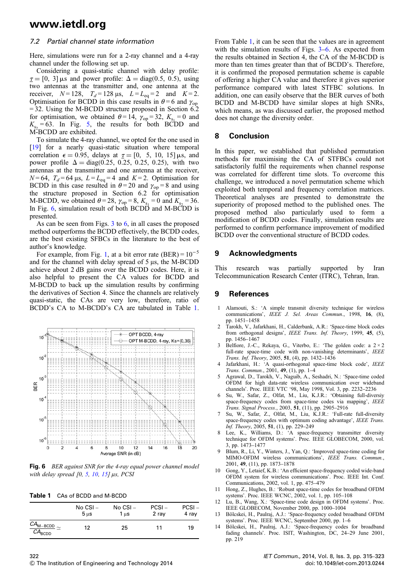#### 7.2 Partial channel state information

Here, simulations were run for a 2-ray channel and a 4-ray channel under the following set up.

Considering a quasi-static channel with delay profile:  $\tau = [0, 3]$  µs and power profile:  $\Delta = diag(0.5, 0.5)$ , using two antennas at the transmitter and, one antenna at the receiver,  $N = 128$ ,  $T_d = 128 \text{ }\mu\text{s}$ ,  $L = L_{eq} = 2$  and  $K = 2$ . Optimisation for BCDD in this case results in  $\theta = 6$  and  $\gamma_{op}$ = 32. Using the M-BCDD structure proposed in Section 6.2 for optimisation, we obtained  $\theta = 14$ ,  $\gamma_{op} = 32$ ,  $K_{s_1} = 0$  and  $K_{s_2} = 63$ . In Fig. 5, the results for both BCDD and M-BCDD are exhibited.

To simulate the 4-ray channel, we opted for the one used in [19] for a nearly quasi-static situation where temporal correlation  $\epsilon = 0.95$ , delays at  $\tau = [0, 5, 10, 15] \mu s$ , and power profile  $\Delta = diag(0.25, 0.25, 0.25, 0.25)$ , with two antennas at the transmitter and one antenna at the receiver,  $N = 64$ ,  $T_d = 64$  µs,  $L = L_{eq} = 4$  and  $K = 2$ . Optimisation for BCDD in this case resulted in  $\theta = 20$  and  $\gamma_{op} = 8$  and using the structure proposed in Section 6.2 for optimisation M-BCDD, we obtained  $\theta = 28$ ,  $\gamma_{\text{op}} = 8$ ,  $K_{\text{s}_1} = 0$  and  $K_{\text{s}_2} = 36$ . In Fig. 6, simulation result of both BCDD and M-BCDD is presented.

As can be seen from Figs. 3 to 6, in all cases the proposed method outperforms the BCDD effectively, the BCDD codes, are the best existing SFBCs in the literature to the best of author's knowledge.

For example, from Fig. 1, at a bit error rate  $(BER) = 10^{-5}$ and for the channel with delay spread of 5 μs, the M-BCDD achieve about 2 dB gains over the BCDD codes. Here, it is also helpful to present the CA values for BCDD and M-BCDD to back up the simulation results by confirming the derivatives of Section 4. Since the channels are relatively quasi-static, the CAs are very low, therefore, ratio of BCDD's CA to M-BCDD's CA are tabulated in Table 1.



Fig. 6 BER against SNR for the 4-ray equal power channel model with delay spread  $[0, 5, 10, 15]$  μs, PCSI

| <b>Table 1</b> CAs of BCDD and M-BCDD |
|---------------------------------------|
|                                       |

|                                                               | $No$ CSI $-$ | $No CSI -$ | $PCSI -$ | $PCSI -$ |
|---------------------------------------------------------------|--------------|------------|----------|----------|
|                                                               | $5 \mu s$    | $1 \mu s$  | 2 ray    | 4 ray    |
| $\mathcal{C}\mathcal{A}_{\mathsf{M-BCDD}}\sim$<br>$CA_{BCDD}$ | 12           | 25         | 11       | 19       |

From Table 1, it can be seen that the values are in agreement with the simulation results of Figs. 3–6. As expected from the results obtained in Section 4, the CA of the M-BCDD is more than ten times greater than that of BCDD's. Therefore, it is confirmed the proposed permutation scheme is capable of offering a higher CA value and therefore it gives superior performance compared with latest STFBC solutions. In addition, one can easily observe that the BER curves of both BCDD and M-BCDD have similar slopes at high SNRs, which means, as was discussed earlier, the proposed method does not change the diversity order.

#### 8 Conclusion

In this paper, we established that published permutation methods for maximising the CA of STFBCs could not satisfactorily fulfil the requirements when channel response was correlated for different time slots. To overcome this challenge, we introduced a novel permutation scheme which exploited both temporal and frequency correlation matrices. Theoretical analyses are presented to demonstrate the superiority of proposed method to the published ones. The proposed method also particularly used to form a modification of BCDD codes. Finally, simulation results are performed to confirm performance improvement of modified BCDD over the conventional structure of BCDD codes.

#### 9 Acknowledgments

This research was partially supported by Iran Telecommunication Research Center (ITRC), Tehran, Iran.

#### 9 References

- 1 Alamouti, S.: 'A simple transmit diversity technique for wireless communications', IEEE J. Sel. Areas Commun., 1998, 16, (8), pp. 1451–1458
- 2 Tarokh, V., Jafarkhani, H., Calderbank, A.R.: 'Space-time block codes from orthogonal designs', IEEE Trans. Inf. Theory, 1999, 45, (5), pp. 1456–1467
- 3 Belfiore, J.-C., Rekaya, G., Viterbo, E.: 'The golden code: a  $2 \times 2$ full-rate space-time code with non-vanishing determinants', IEEE Trans. Inf. Theory, 2005, 51, (4), pp. 1432–1436
- 4 Jafarkhani, H.: 'A quasi-orthogonal space-time block code', IEEE Trans. Commun., 2001, 49, (1), pp. 1–4
- 5 Agrawal, D., Tarokh, V., Naguib, A., Seshadri, N.: 'Space-time coded OFDM for high data-rate wireless communication over wideband channels'. Proc. IEEE VTC '98, May 1998, Vol. 3, pp. 2232–2236
- 6 Su, W., Safar, Z., Olfat, M., Liu, K.J.R.: 'Obtaining full-diversiy space-frequency codes from space-time codes via mapping', IEEE Trans. Signal Process., 2003, 51, (11), pp. 2905–2916
- 7 Su, W., Safar, Z., Olfat, M., Liu, K.J.R.: 'Full-rate full-diversity space-frequency codes with optimum coding advantage', IEEE Trans. Inf. Theory, 2005, 51, (1), pp. 229-249
- 8 Lee, K., Williams, D.: 'A space-frequency transmitter diversity technique for OFDM systems'. Proc. IEEE GLOBECOM, 2000, vol. 3, pp. 1473–1477
- 9 Blum, R., Li, Y., Winters, J., Yan, Q.: 'Improved space-time coding for MIMO-OFDM wireless communications', IEEE Trans. Commun., 2001, 49, (11), pp. 1873–1878
- 10 Gong, Y., Letaief, K.B.: 'An efficient space-frequency coded wide-band OFDM system for wireless communications'. Proc. IEEE Int. Conf. Communications, 2002, vol. 1, pp. 475–479
- 11 Hong, Z., Hughes, B.: 'Robust space-time codes for broadband OFDM systems'. Proc. IEEE WCNC, 2002, vol. 1, pp. 105–108
- 12 Lu, B., Wang, X.: 'Space-time code design in OFDM systems'. Proc. IEEE GLOBECOM, November 2000, pp. 1000–1004
- 13 Bölcskei, H., Paulraj, A.J.: 'Space-frequency coded broadband OFDM systems'. Proc. IEEE WCNC, September 2000, pp. 1–6
- 14 Bölcskei, H., Paulraj, A.J.: 'Space-frequency codes for broadband fading channels'. Proc. ISIT, Washington, DC, 24–29 June 2001, pp. 219